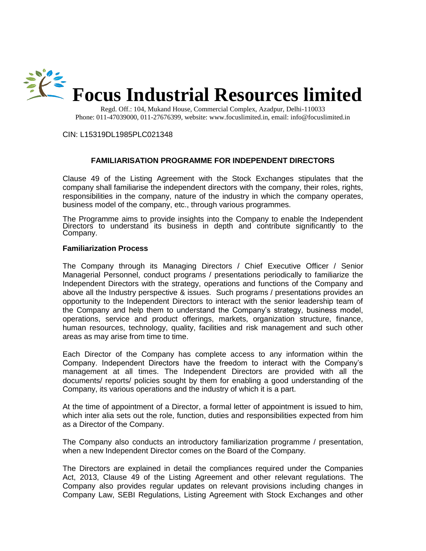

Regd. Off.: 104, Mukand House, Commercial Complex, Azadpur, Delhi-110033 Phone: 011-47039000, 011-27676399, website: www.focuslimited.in, email: info@focuslimited.in

CIN: L15319DL1985PLC021348

## **FAMILIARISATION PROGRAMME FOR INDEPENDENT DIRECTORS**

Clause 49 of the Listing Agreement with the Stock Exchanges stipulates that the company shall familiarise the independent directors with the company, their roles, rights, responsibilities in the company, nature of the industry in which the company operates, business model of the company, etc., through various programmes.

The Programme aims to provide insights into the Company to enable the Independent Directors to understand its business in depth and contribute significantly to the Company.

## **Familiarization Process**

The Company through its Managing Directors / Chief Executive Officer / Senior Managerial Personnel, conduct programs / presentations periodically to familiarize the Independent Directors with the strategy, operations and functions of the Company and above all the Industry perspective & issues. Such programs / presentations provides an opportunity to the Independent Directors to interact with the senior leadership team of the Company and help them to understand the Company's strategy, business model, operations, service and product offerings, markets, organization structure, finance, human resources, technology, quality, facilities and risk management and such other areas as may arise from time to time.

Each Director of the Company has complete access to any information within the Company. Independent Directors have the freedom to interact with the Company's management at all times. The Independent Directors are provided with all the documents/ reports/ policies sought by them for enabling a good understanding of the Company, its various operations and the industry of which it is a part.

At the time of appointment of a Director, a formal letter of appointment is issued to him, which inter alia sets out the role, function, duties and responsibilities expected from him as a Director of the Company.

The Company also conducts an introductory familiarization programme / presentation, when a new Independent Director comes on the Board of the Company.

The Directors are explained in detail the compliances required under the Companies Act, 2013, Clause 49 of the Listing Agreement and other relevant regulations. The Company also provides regular updates on relevant provisions including changes in Company Law, SEBI Regulations, Listing Agreement with Stock Exchanges and other